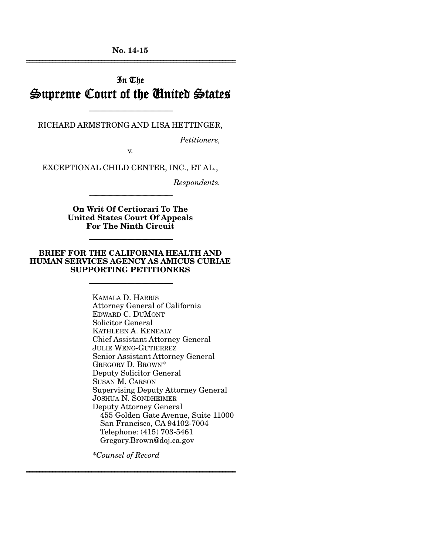**No. 14-15**  ================================================================

# In The Supreme Court of the United States

-----------------------------------------------------------------------

RICHARD ARMSTRONG AND LISA HETTINGER,

*Petitioners,* 

v.

EXCEPTIONAL CHILD CENTER, INC., ET AL.,

*Respondents.* 

**On Writ Of Certiorari To The United States Court Of Appeals For The Ninth Circuit** 

-----------------------------------------------------------------------

-----------------------------------------------------------------------

#### **BRIEF FOR THE CALIFORNIA HEALTH AND HUMAN SERVICES AGENCY AS AMICUS CURIAE SUPPORTING PETITIONERS**

-----------------------------------------------------------------------

KAMALA D. HARRIS Attorney General of California EDWARD C. DUMONT Solicitor General KATHLEEN A. KENEALY Chief Assistant Attorney General JULIE WENG-GUTIERREZ Senior Assistant Attorney General GREGORY D. BROWN\* Deputy Solicitor General SUSAN M. CARSON Supervising Deputy Attorney General JOSHUA N. SONDHEIMER Deputy Attorney General 455 Golden Gate Avenue, Suite 11000 San Francisco, CA 94102-7004 Telephone: (415) 703-5461 Gregory.Brown@doj.ca.gov

\**Counsel of Record*

================================================================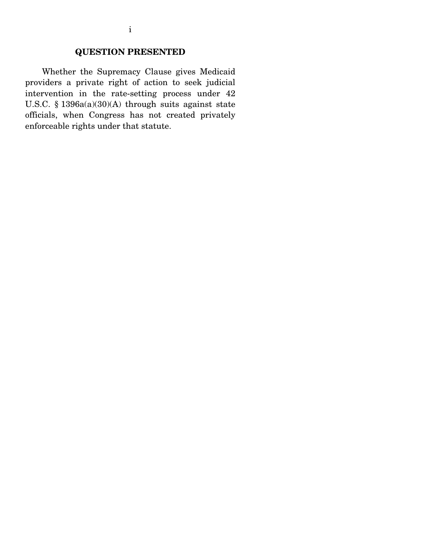### **QUESTION PRESENTED**

 Whether the Supremacy Clause gives Medicaid providers a private right of action to seek judicial intervention in the rate-setting process under 42 U.S.C. § 1396a(a)(30)(A) through suits against state officials, when Congress has not created privately enforceable rights under that statute.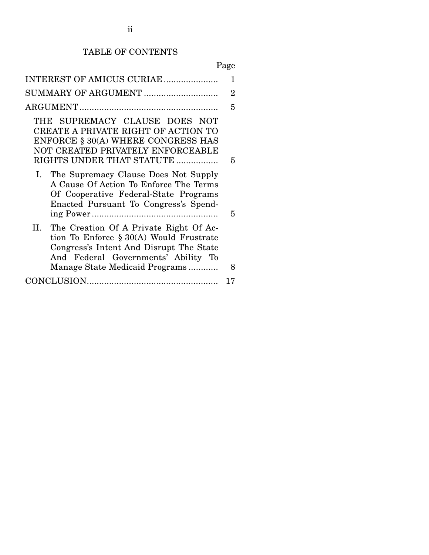# TABLE OF CONTENTS

# Page

| INTEREST OF AMICUS CURIAE                                                                                                                                                                                       | 1              |  |
|-----------------------------------------------------------------------------------------------------------------------------------------------------------------------------------------------------------------|----------------|--|
| SUMMARY OF ARGUMENT                                                                                                                                                                                             | $\overline{2}$ |  |
|                                                                                                                                                                                                                 | 5              |  |
| THE SUPREMACY CLAUSE DOES NOT<br>CREATE A PRIVATE RIGHT OF ACTION TO<br>ENFORCE § 30(A) WHERE CONGRESS HAS<br>NOT CREATED PRIVATELY ENFORCEABLE<br>RIGHTS UNDER THAT STATUTE                                    | 5              |  |
| I. The Supremacy Clause Does Not Supply<br>A Cause Of Action To Enforce The Terms<br>Of Cooperative Federal-State Programs<br>Enacted Pursuant To Congress's Spend-                                             | 5              |  |
| The Creation Of A Private Right Of Ac-<br>II.<br>tion To Enforce $\S 30(A)$ Would Frustrate<br>Congress's Intent And Disrupt The State<br>And Federal Governments' Ability To<br>Manage State Medicaid Programs | 8              |  |
|                                                                                                                                                                                                                 |                |  |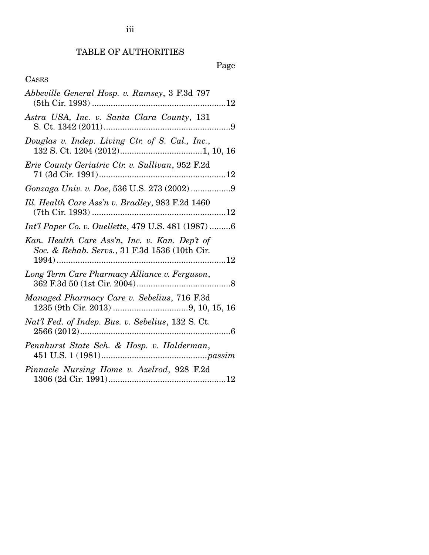# TABLE OF AUTHORITIES

# Page

## CASES

| Abbeville General Hosp. v. Ramsey, 3 F.3d 797                                                   |
|-------------------------------------------------------------------------------------------------|
| Astra USA, Inc. v. Santa Clara County, 131                                                      |
| Douglas v. Indep. Living Ctr. of S. Cal., Inc.,<br>${\bf 132 \ S.\ Ct.\ 1204}\ (2012)1, 10, 16$ |
| Erie County Geriatric Ctr. v. Sullivan, 952 F.2d                                                |
|                                                                                                 |
| Ill. Health Care Ass'n v. Bradley, 983 F.2d 1460                                                |
| <i>Int'l Paper Co. v. Ouellette, 479 U.S. 481 (1987) 6</i>                                      |
| Kan. Health Care Ass'n, Inc. v. Kan. Dep't of<br>Soc. & Rehab. Servs., 31 F.3d 1536 (10th Cir.  |
| Long Term Care Pharmacy Alliance v. Ferguson,                                                   |
| Managed Pharmacy Care v. Sebelius, 716 F.3d                                                     |
| Nat'l Fed. of Indep. Bus. v. Sebelius, 132 S. Ct.                                               |
| Pennhurst State Sch. & Hosp. v. Halderman,                                                      |
| Pinnacle Nursing Home v. Axelrod, 928 F.2d                                                      |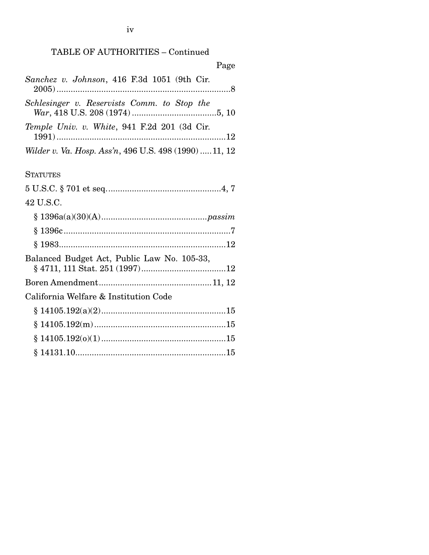|  | TABLE OF AUTHORITIES - Continued |  |
|--|----------------------------------|--|
|--|----------------------------------|--|

Page

| Sanchez v. Johnson, 416 F.3d 1051 (9th Cir.            |
|--------------------------------------------------------|
| Schlesinger v. Reservists Comm. to Stop the            |
| Temple Univ. v. White, 941 F.2d 201 (3d Cir.           |
| Wilder v. Va. Hosp. Ass'n, 496 U.S. 498 (1990)  11, 12 |
| <b>STATUTES</b>                                        |
|                                                        |
| 42 U.S.C.                                              |
|                                                        |
|                                                        |
|                                                        |
| Balanced Budget Act, Public Law No. 105-33,            |
|                                                        |
| California Welfare & Institution Code                  |
|                                                        |
|                                                        |
|                                                        |

§ 14131.10 ................................................................ 15

iv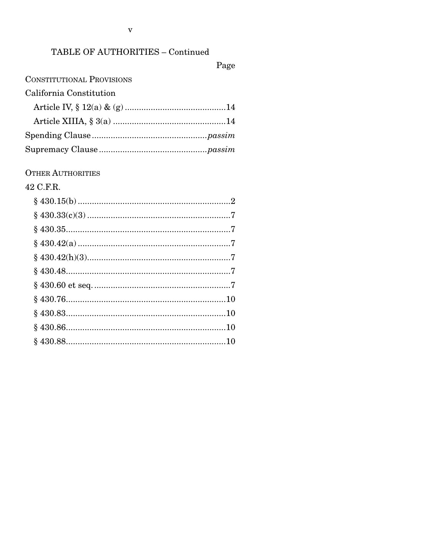### TABLE OF AUTHORITIES - Continued

Page

### **CONSTITUTIONAL PROVISIONS**

## California Constitution

#### **OTHER AUTHORITIES**

### 42 C.F.R.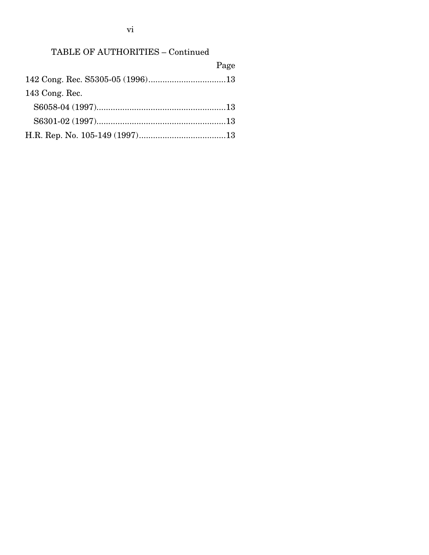## TABLE OF AUTHORITIES – Continued

|                | Page |
|----------------|------|
|                |      |
| 143 Cong. Rec. |      |
|                |      |
|                |      |
|                |      |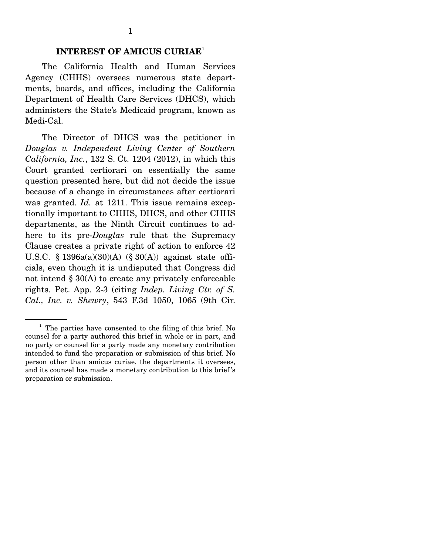#### **INTEREST OF AMICUS CURIAE**<sup>1</sup>

 The California Health and Human Services Agency (CHHS) oversees numerous state departments, boards, and offices, including the California Department of Health Care Services (DHCS), which administers the State's Medicaid program, known as Medi-Cal.

 The Director of DHCS was the petitioner in *Douglas v. Independent Living Center of Southern California, Inc.*, 132 S. Ct. 1204 (2012), in which this Court granted certiorari on essentially the same question presented here, but did not decide the issue because of a change in circumstances after certiorari was granted. *Id.* at 1211. This issue remains exceptionally important to CHHS, DHCS, and other CHHS departments, as the Ninth Circuit continues to adhere to its pre-*Douglas* rule that the Supremacy Clause creates a private right of action to enforce 42 U.S.C. § 1396a(a)(30)(A) (§ 30(A)) against state officials, even though it is undisputed that Congress did not intend § 30(A) to create any privately enforceable rights. Pet. App. 2-3 (citing *Indep. Living Ctr. of S. Cal., Inc. v. Shewry*, 543 F.3d 1050, 1065 (9th Cir.

<sup>&</sup>lt;sup>1</sup> The parties have consented to the filing of this brief. No counsel for a party authored this brief in whole or in part, and no party or counsel for a party made any monetary contribution intended to fund the preparation or submission of this brief. No person other than amicus curiae, the departments it oversees, and its counsel has made a monetary contribution to this brief 's preparation or submission.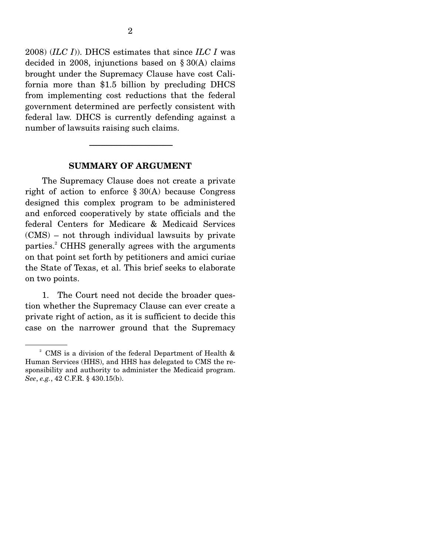2008) (*ILC I*)). DHCS estimates that since *ILC I* was decided in 2008, injunctions based on § 30(A) claims brought under the Supremacy Clause have cost California more than \$1.5 billion by precluding DHCS from implementing cost reductions that the federal government determined are perfectly consistent with federal law. DHCS is currently defending against a number of lawsuits raising such claims.

#### **SUMMARY OF ARGUMENT**

-----------------------------------------------------------------------

 The Supremacy Clause does not create a private right of action to enforce  $\S 30(A)$  because Congress designed this complex program to be administered and enforced cooperatively by state officials and the federal Centers for Medicare & Medicaid Services (CMS) – not through individual lawsuits by private parties.<sup>2</sup> CHHS generally agrees with the arguments on that point set forth by petitioners and amici curiae the State of Texas, et al. This brief seeks to elaborate on two points.

 1. The Court need not decide the broader question whether the Supremacy Clause can ever create a private right of action, as it is sufficient to decide this case on the narrower ground that the Supremacy

<sup>&</sup>lt;sup>2</sup> CMS is a division of the federal Department of Health & Human Services (HHS), and HHS has delegated to CMS the responsibility and authority to administer the Medicaid program. *See*, *e.g.*, 42 C.F.R. § 430.15(b).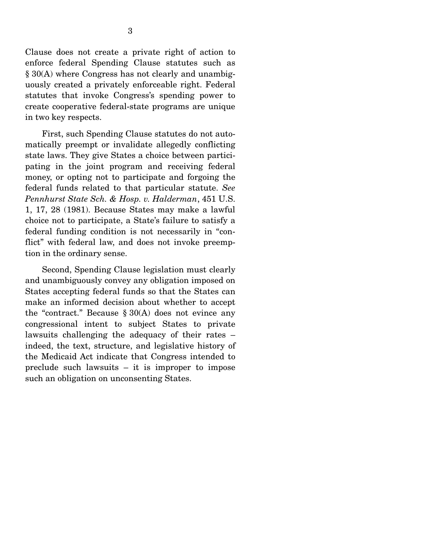Clause does not create a private right of action to enforce federal Spending Clause statutes such as § 30(A) where Congress has not clearly and unambiguously created a privately enforceable right. Federal statutes that invoke Congress's spending power to create cooperative federal-state programs are unique in two key respects.

 First, such Spending Clause statutes do not automatically preempt or invalidate allegedly conflicting state laws. They give States a choice between participating in the joint program and receiving federal money, or opting not to participate and forgoing the federal funds related to that particular statute. *See Pennhurst State Sch. & Hosp. v. Halderman*, 451 U.S. 1, 17, 28 (1981). Because States may make a lawful choice not to participate, a State's failure to satisfy a federal funding condition is not necessarily in "conflict" with federal law, and does not invoke preemption in the ordinary sense.

 Second, Spending Clause legislation must clearly and unambiguously convey any obligation imposed on States accepting federal funds so that the States can make an informed decision about whether to accept the "contract." Because  $\S 30(A)$  does not evince any congressional intent to subject States to private lawsuits challenging the adequacy of their rates – indeed, the text, structure, and legislative history of the Medicaid Act indicate that Congress intended to preclude such lawsuits – it is improper to impose such an obligation on unconsenting States.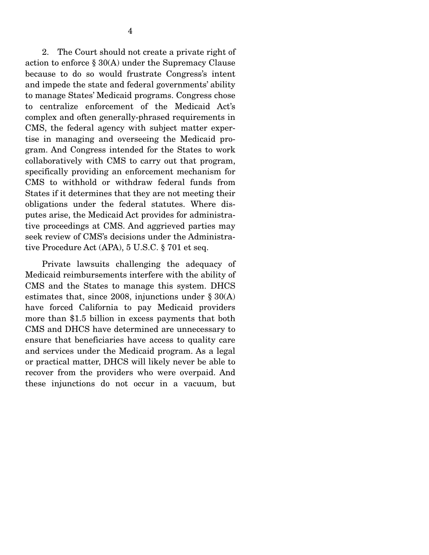2. The Court should not create a private right of action to enforce § 30(A) under the Supremacy Clause because to do so would frustrate Congress's intent and impede the state and federal governments' ability to manage States' Medicaid programs. Congress chose to centralize enforcement of the Medicaid Act's complex and often generally-phrased requirements in CMS, the federal agency with subject matter expertise in managing and overseeing the Medicaid program. And Congress intended for the States to work collaboratively with CMS to carry out that program, specifically providing an enforcement mechanism for CMS to withhold or withdraw federal funds from States if it determines that they are not meeting their obligations under the federal statutes. Where disputes arise, the Medicaid Act provides for administrative proceedings at CMS. And aggrieved parties may seek review of CMS's decisions under the Administrative Procedure Act (APA), 5 U.S.C. § 701 et seq.

 Private lawsuits challenging the adequacy of Medicaid reimbursements interfere with the ability of CMS and the States to manage this system. DHCS estimates that, since 2008, injunctions under  $\S 30(A)$ have forced California to pay Medicaid providers more than \$1.5 billion in excess payments that both CMS and DHCS have determined are unnecessary to ensure that beneficiaries have access to quality care and services under the Medicaid program. As a legal or practical matter, DHCS will likely never be able to recover from the providers who were overpaid. And these injunctions do not occur in a vacuum, but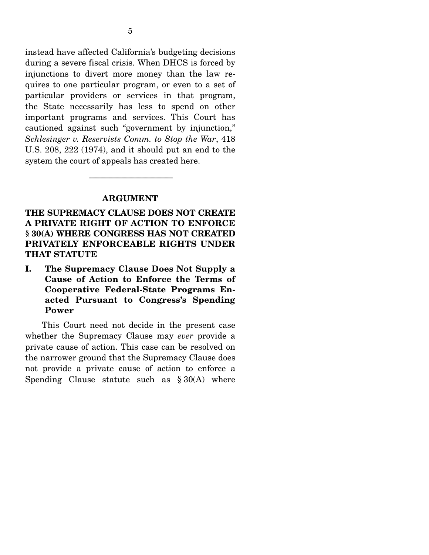instead have affected California's budgeting decisions during a severe fiscal crisis. When DHCS is forced by injunctions to divert more money than the law requires to one particular program, or even to a set of particular providers or services in that program, the State necessarily has less to spend on other important programs and services. This Court has cautioned against such "government by injunction," *Schlesinger v. Reservists Comm. to Stop the War*, 418 U.S. 208, 222 (1974), and it should put an end to the system the court of appeals has created here.

#### **ARGUMENT**

-----------------------------------------------------------------------

**THE SUPREMACY CLAUSE DOES NOT CREATE A PRIVATE RIGHT OF ACTION TO ENFORCE § 30(A) WHERE CONGRESS HAS NOT CREATED PRIVATELY ENFORCEABLE RIGHTS UNDER THAT STATUTE**

**I. The Supremacy Clause Does Not Supply a Cause of Action to Enforce the Terms of Cooperative Federal-State Programs Enacted Pursuant to Congress's Spending Power** 

 This Court need not decide in the present case whether the Supremacy Clause may *ever* provide a private cause of action. This case can be resolved on the narrower ground that the Supremacy Clause does not provide a private cause of action to enforce a Spending Clause statute such as  $§ 30(A)$  where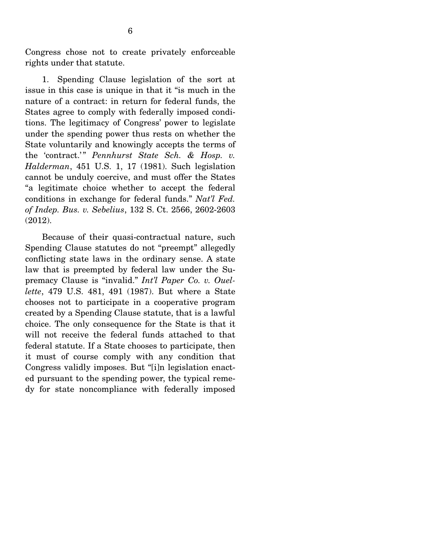Congress chose not to create privately enforceable rights under that statute.

 1. Spending Clause legislation of the sort at issue in this case is unique in that it "is much in the nature of a contract: in return for federal funds, the States agree to comply with federally imposed conditions. The legitimacy of Congress' power to legislate under the spending power thus rests on whether the State voluntarily and knowingly accepts the terms of the 'contract.'" *Pennhurst State Sch. & Hosp. v. Halderman*, 451 U.S. 1, 17 (1981). Such legislation cannot be unduly coercive, and must offer the States "a legitimate choice whether to accept the federal conditions in exchange for federal funds." *Nat'l Fed. of Indep. Bus. v. Sebelius*, 132 S. Ct. 2566, 2602-2603 (2012).

 Because of their quasi-contractual nature, such Spending Clause statutes do not "preempt" allegedly conflicting state laws in the ordinary sense. A state law that is preempted by federal law under the Supremacy Clause is "invalid." *Int'l Paper Co. v. Ouellette*, 479 U.S. 481, 491 (1987). But where a State chooses not to participate in a cooperative program created by a Spending Clause statute, that is a lawful choice. The only consequence for the State is that it will not receive the federal funds attached to that federal statute. If a State chooses to participate, then it must of course comply with any condition that Congress validly imposes. But "[i]n legislation enacted pursuant to the spending power, the typical remedy for state noncompliance with federally imposed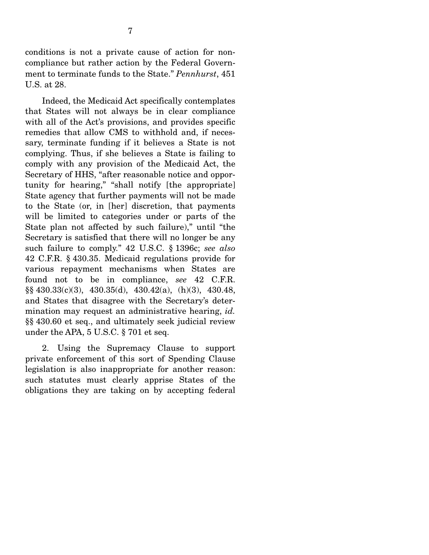conditions is not a private cause of action for noncompliance but rather action by the Federal Government to terminate funds to the State." *Pennhurst*, 451 U.S. at 28.

 Indeed, the Medicaid Act specifically contemplates that States will not always be in clear compliance with all of the Act's provisions, and provides specific remedies that allow CMS to withhold and, if necessary, terminate funding if it believes a State is not complying. Thus, if she believes a State is failing to comply with any provision of the Medicaid Act, the Secretary of HHS, "after reasonable notice and opportunity for hearing," "shall notify [the appropriate] State agency that further payments will not be made to the State (or, in [her] discretion, that payments will be limited to categories under or parts of the State plan not affected by such failure)," until "the Secretary is satisfied that there will no longer be any such failure to comply." 42 U.S.C. § 1396c; *see also*  42 C.F.R. § 430.35. Medicaid regulations provide for various repayment mechanisms when States are found not to be in compliance, *see* 42 C.F.R. §§ 430.33(c)(3), 430.35(d), 430.42(a), (h)(3), 430.48, and States that disagree with the Secretary's determination may request an administrative hearing, *id.* §§ 430.60 et seq., and ultimately seek judicial review under the APA, 5 U.S.C. § 701 et seq.

 2. Using the Supremacy Clause to support private enforcement of this sort of Spending Clause legislation is also inappropriate for another reason: such statutes must clearly apprise States of the obligations they are taking on by accepting federal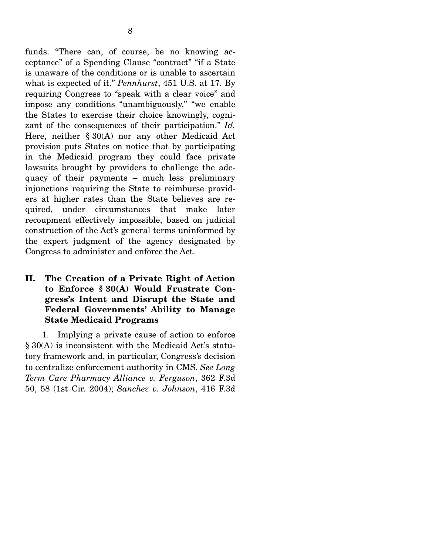funds. "There can, of course, be no knowing acceptance" of a Spending Clause "contract" "if a State is unaware of the conditions or is unable to ascertain what is expected of it." *Pennhurst*, 451 U.S. at 17. By requiring Congress to "speak with a clear voice" and impose any conditions "unambiguously," "we enable the States to exercise their choice knowingly, cognizant of the consequences of their participation." *Id.* Here, neither § 30(A) nor any other Medicaid Act provision puts States on notice that by participating in the Medicaid program they could face private lawsuits brought by providers to challenge the adequacy of their payments – much less preliminary injunctions requiring the State to reimburse providers at higher rates than the State believes are required, under circumstances that make later recoupment effectively impossible, based on judicial construction of the Act's general terms uninformed by the expert judgment of the agency designated by Congress to administer and enforce the Act.

#### **II. The Creation of a Private Right of Action to Enforce § 30(A) Would Frustrate Congress's Intent and Disrupt the State and Federal Governments' Ability to Manage State Medicaid Programs**

 1. Implying a private cause of action to enforce § 30(A) is inconsistent with the Medicaid Act's statutory framework and, in particular, Congress's decision to centralize enforcement authority in CMS. *See Long Term Care Pharmacy Alliance v. Ferguson*, 362 F.3d 50, 58 (1st Cir. 2004); *Sanchez v. Johnson*, 416 F.3d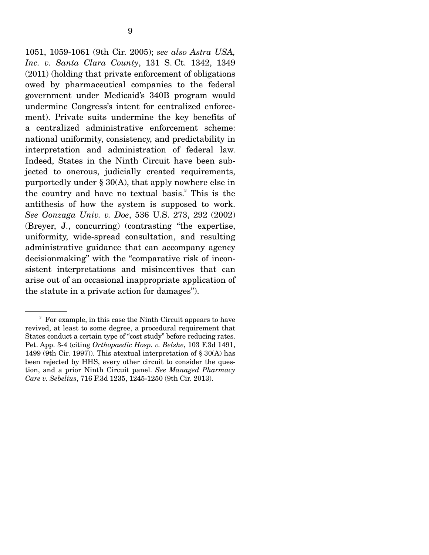1051, 1059-1061 (9th Cir. 2005); *see also Astra USA, Inc. v. Santa Clara County*, 131 S. Ct. 1342, 1349 (2011) (holding that private enforcement of obligations owed by pharmaceutical companies to the federal government under Medicaid's 340B program would undermine Congress's intent for centralized enforcement). Private suits undermine the key benefits of a centralized administrative enforcement scheme: national uniformity, consistency, and predictability in interpretation and administration of federal law. Indeed, States in the Ninth Circuit have been subjected to onerous, judicially created requirements, purportedly under § 30(A), that apply nowhere else in the country and have no textual basis.<sup>3</sup> This is the antithesis of how the system is supposed to work. *See Gonzaga Univ. v. Doe*, 536 U.S. 273, 292 (2002) (Breyer, J., concurring) (contrasting "the expertise, uniformity, wide-spread consultation, and resulting administrative guidance that can accompany agency decisionmaking" with the "comparative risk of inconsistent interpretations and misincentives that can arise out of an occasional inappropriate application of the statute in a private action for damages").

<sup>3</sup> For example, in this case the Ninth Circuit appears to have revived, at least to some degree, a procedural requirement that States conduct a certain type of "cost study" before reducing rates. Pet. App. 3-4 (citing *Orthopaedic Hosp. v. Belshe*, 103 F.3d 1491, 1499 (9th Cir. 1997)). This atextual interpretation of § 30(A) has been rejected by HHS, every other circuit to consider the question, and a prior Ninth Circuit panel. *See Managed Pharmacy Care v. Sebelius*, 716 F.3d 1235, 1245-1250 (9th Cir. 2013).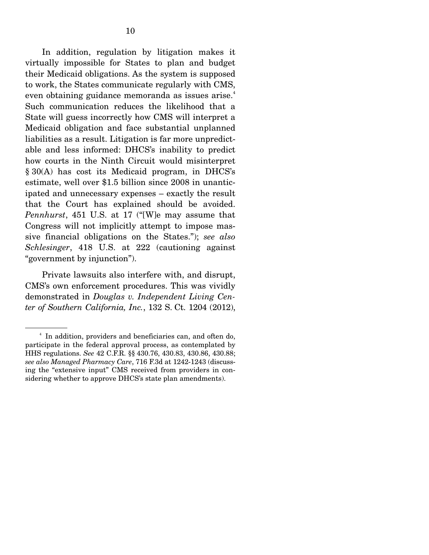In addition, regulation by litigation makes it virtually impossible for States to plan and budget their Medicaid obligations. As the system is supposed to work, the States communicate regularly with CMS, even obtaining guidance memoranda as issues arise.<sup>4</sup> Such communication reduces the likelihood that a State will guess incorrectly how CMS will interpret a Medicaid obligation and face substantial unplanned liabilities as a result. Litigation is far more unpredictable and less informed: DHCS's inability to predict how courts in the Ninth Circuit would misinterpret § 30(A) has cost its Medicaid program, in DHCS's estimate, well over \$1.5 billion since 2008 in unanticipated and unnecessary expenses – exactly the result that the Court has explained should be avoided. *Pennhurst*, 451 U.S. at 17 ("[W]e may assume that Congress will not implicitly attempt to impose massive financial obligations on the States."); *see also Schlesinger*, 418 U.S. at 222 (cautioning against "government by injunction").

 Private lawsuits also interfere with, and disrupt, CMS's own enforcement procedures. This was vividly demonstrated in *Douglas v. Independent Living Center of Southern California, Inc.*, 132 S. Ct. 1204 (2012),

<sup>&</sup>lt;sup>4</sup> In addition, providers and beneficiaries can, and often do, participate in the federal approval process, as contemplated by HHS regulations. *See* 42 C.F.R. §§ 430.76, 430.83, 430.86, 430.88; *see also Managed Pharmacy Care*, 716 F.3d at 1242-1243 (discussing the "extensive input" CMS received from providers in considering whether to approve DHCS's state plan amendments).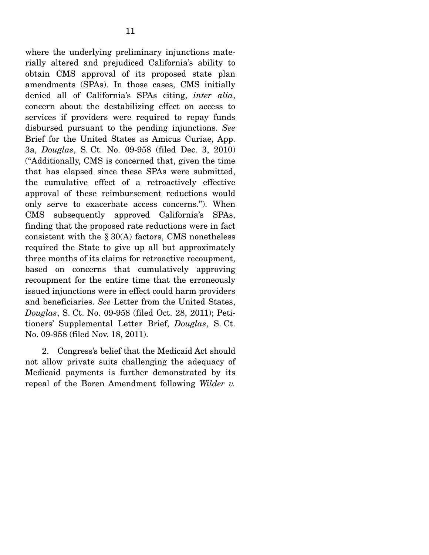where the underlying preliminary injunctions materially altered and prejudiced California's ability to obtain CMS approval of its proposed state plan amendments (SPAs). In those cases, CMS initially denied all of California's SPAs citing, *inter alia*, concern about the destabilizing effect on access to services if providers were required to repay funds disbursed pursuant to the pending injunctions. *See* Brief for the United States as Amicus Curiae, App. 3a, *Douglas*, S. Ct. No. 09-958 (filed Dec. 3, 2010) ("Additionally, CMS is concerned that, given the time that has elapsed since these SPAs were submitted, the cumulative effect of a retroactively effective approval of these reimbursement reductions would only serve to exacerbate access concerns."). When CMS subsequently approved California's SPAs, finding that the proposed rate reductions were in fact consistent with the § 30(A) factors, CMS nonetheless required the State to give up all but approximately three months of its claims for retroactive recoupment, based on concerns that cumulatively approving recoupment for the entire time that the erroneously issued injunctions were in effect could harm providers and beneficiaries. *See* Letter from the United States, *Douglas*, S. Ct. No. 09-958 (filed Oct. 28, 2011); Petitioners' Supplemental Letter Brief, *Douglas*, S. Ct. No. 09-958 (filed Nov. 18, 2011).

 2. Congress's belief that the Medicaid Act should not allow private suits challenging the adequacy of Medicaid payments is further demonstrated by its repeal of the Boren Amendment following *Wilder v.*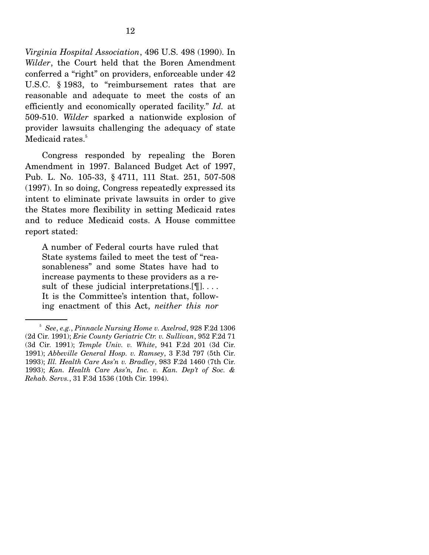*Virginia Hospital Association*, 496 U.S. 498 (1990). In *Wilder*, the Court held that the Boren Amendment conferred a "right" on providers, enforceable under 42 U.S.C. § 1983, to "reimbursement rates that are reasonable and adequate to meet the costs of an efficiently and economically operated facility." *Id.* at 509-510. *Wilder* sparked a nationwide explosion of provider lawsuits challenging the adequacy of state Medicaid rates.<sup>5</sup>

 Congress responded by repealing the Boren Amendment in 1997. Balanced Budget Act of 1997, Pub. L. No. 105-33, § 4711, 111 Stat. 251, 507-508 (1997). In so doing, Congress repeatedly expressed its intent to eliminate private lawsuits in order to give the States more flexibility in setting Medicaid rates and to reduce Medicaid costs. A House committee report stated:

A number of Federal courts have ruled that State systems failed to meet the test of "reasonableness" and some States have had to increase payments to these providers as a result of these judicial interpretations.<sup>[9]</sup>.... It is the Committee's intention that, following enactment of this Act, *neither this nor* 

<sup>5</sup> *See*, *e.g.*, *Pinnacle Nursing Home v. Axelrod*, 928 F.2d 1306 (2d Cir. 1991); *Erie County Geriatric Ctr. v. Sullivan*, 952 F.2d 71 (3d Cir. 1991); *Temple Univ. v. White*, 941 F.2d 201 (3d Cir. 1991); *Abbeville General Hosp. v. Ramsey*, 3 F.3d 797 (5th Cir. 1993); *Ill. Health Care Ass'n v. Bradley*, 983 F.2d 1460 (7th Cir. 1993); *Kan. Health Care Ass'n, Inc. v. Kan. Dep't of Soc. & Rehab. Servs.*, 31 F.3d 1536 (10th Cir. 1994).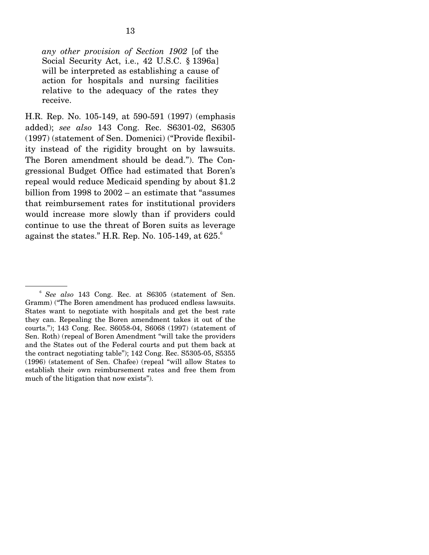*any other provision of Section 1902* [of the Social Security Act, i.e., 42 U.S.C. § 1396a] will be interpreted as establishing a cause of action for hospitals and nursing facilities relative to the adequacy of the rates they receive.

H.R. Rep. No. 105-149, at 590-591 (1997) (emphasis added); *see also* 143 Cong. Rec. S6301-02, S6305 (1997) (statement of Sen. Domenici) ("Provide flexibility instead of the rigidity brought on by lawsuits. The Boren amendment should be dead."). The Congressional Budget Office had estimated that Boren's repeal would reduce Medicaid spending by about \$1.2 billion from 1998 to 2002 – an estimate that "assumes that reimbursement rates for institutional providers would increase more slowly than if providers could continue to use the threat of Boren suits as leverage against the states." H.R. Rep. No. 105-149, at  $625$ . $^{6}$ 

<sup>6</sup> *See also* 143 Cong. Rec. at S6305 (statement of Sen. Gramm) ("The Boren amendment has produced endless lawsuits. States want to negotiate with hospitals and get the best rate they can. Repealing the Boren amendment takes it out of the courts."); 143 Cong. Rec. S6058-04, S6068 (1997) (statement of Sen. Roth) (repeal of Boren Amendment "will take the providers and the States out of the Federal courts and put them back at the contract negotiating table"); 142 Cong. Rec. S5305-05, S5355 (1996) (statement of Sen. Chafee) (repeal "will allow States to establish their own reimbursement rates and free them from much of the litigation that now exists").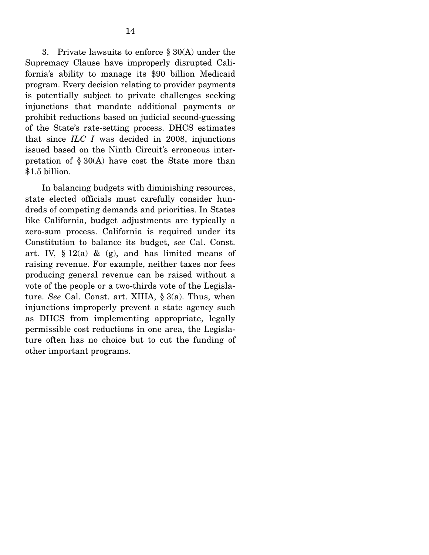3. Private lawsuits to enforce  $\S 30(A)$  under the Supremacy Clause have improperly disrupted California's ability to manage its \$90 billion Medicaid program. Every decision relating to provider payments is potentially subject to private challenges seeking injunctions that mandate additional payments or prohibit reductions based on judicial second-guessing of the State's rate-setting process. DHCS estimates that since *ILC I* was decided in 2008, injunctions issued based on the Ninth Circuit's erroneous interpretation of  $\S 30(A)$  have cost the State more than \$1.5 billion.

 In balancing budgets with diminishing resources, state elected officials must carefully consider hundreds of competing demands and priorities. In States like California, budget adjustments are typically a zero-sum process. California is required under its Constitution to balance its budget, *see* Cal. Const. art. IV,  $\S 12(a) \&$  (g), and has limited means of raising revenue. For example, neither taxes nor fees producing general revenue can be raised without a vote of the people or a two-thirds vote of the Legislature. *See* Cal. Const. art. XIIIA, § 3(a). Thus, when injunctions improperly prevent a state agency such as DHCS from implementing appropriate, legally permissible cost reductions in one area, the Legislature often has no choice but to cut the funding of other important programs.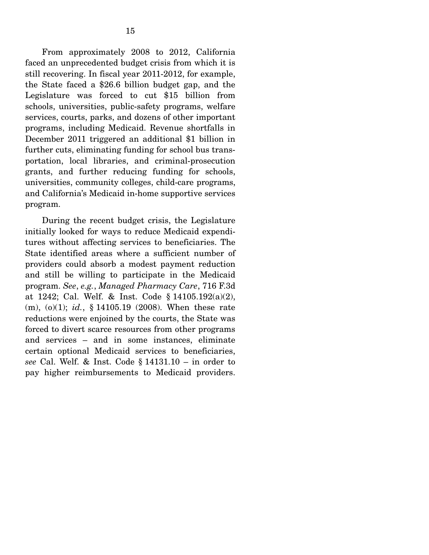From approximately 2008 to 2012, California faced an unprecedented budget crisis from which it is still recovering. In fiscal year 2011-2012, for example, the State faced a \$26.6 billion budget gap, and the Legislature was forced to cut \$15 billion from schools, universities, public-safety programs, welfare services, courts, parks, and dozens of other important programs, including Medicaid. Revenue shortfalls in December 2011 triggered an additional \$1 billion in further cuts, eliminating funding for school bus transportation, local libraries, and criminal-prosecution grants, and further reducing funding for schools, universities, community colleges, child-care programs, and California's Medicaid in-home supportive services program.

 During the recent budget crisis, the Legislature initially looked for ways to reduce Medicaid expenditures without affecting services to beneficiaries. The State identified areas where a sufficient number of providers could absorb a modest payment reduction and still be willing to participate in the Medicaid program. *See*, *e.g.*, *Managed Pharmacy Care*, 716 F.3d at 1242; Cal. Welf. & Inst. Code § 14105.192(a)(2), (m), (o)(1); *id.*, § 14105.19 (2008). When these rate reductions were enjoined by the courts, the State was forced to divert scarce resources from other programs and services – and in some instances, eliminate certain optional Medicaid services to beneficiaries, *see* Cal. Welf. & Inst. Code § 14131.10 – in order to pay higher reimbursements to Medicaid providers.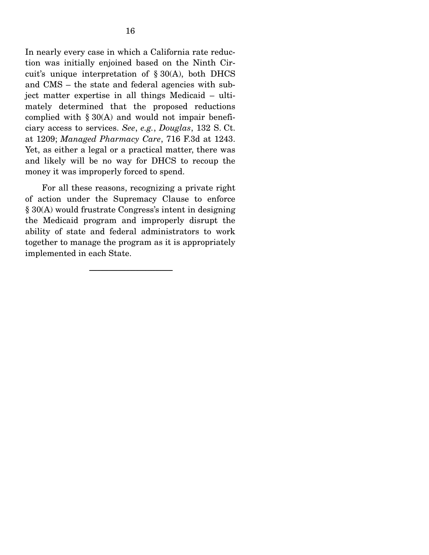In nearly every case in which a California rate reduction was initially enjoined based on the Ninth Circuit's unique interpretation of § 30(A), both DHCS and CMS – the state and federal agencies with subject matter expertise in all things Medicaid – ultimately determined that the proposed reductions complied with  $\S 30(A)$  and would not impair beneficiary access to services. *See*, *e.g.*, *Douglas*, 132 S. Ct. at 1209; *Managed Pharmacy Care*, 716 F.3d at 1243. Yet, as either a legal or a practical matter, there was and likely will be no way for DHCS to recoup the money it was improperly forced to spend.

 For all these reasons, recognizing a private right of action under the Supremacy Clause to enforce § 30(A) would frustrate Congress's intent in designing the Medicaid program and improperly disrupt the ability of state and federal administrators to work together to manage the program as it is appropriately implemented in each State.

-----------------------------------------------------------------------